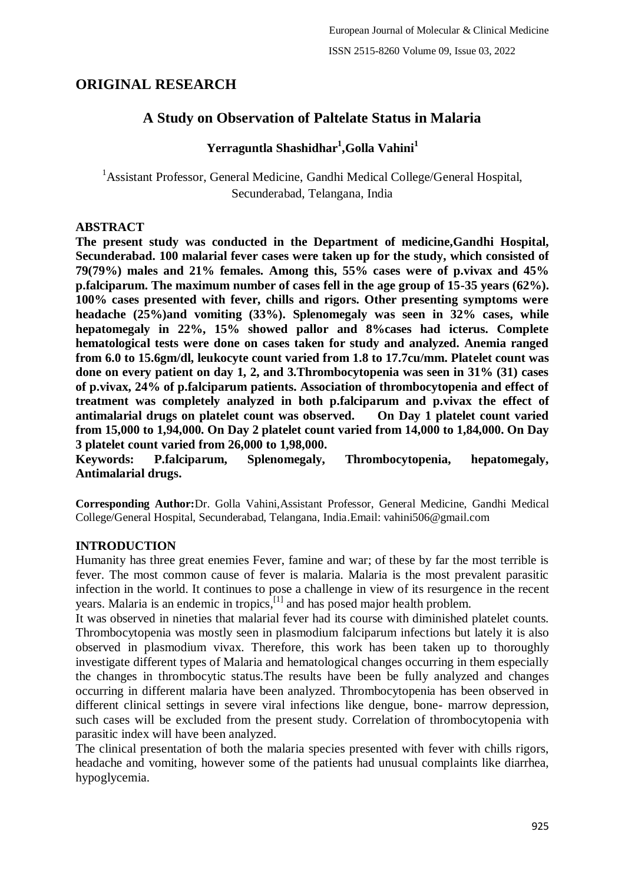# **ORIGINAL RESEARCH**

# **A Study on Observation of Paltelate Status in Malaria**

# **Yerraguntla Shashidhar<sup>1</sup> ,Golla Vahini<sup>1</sup>**

<sup>1</sup> Assistant Professor, General Medicine, Gandhi Medical College/General Hospital, Secunderabad, Telangana, India

### **ABSTRACT**

**The present study was conducted in the Department of medicine,Gandhi Hospital, Secunderabad. 100 malarial fever cases were taken up for the study, which consisted of 79(79%) males and 21% females. Among this, 55% cases were of p.vivax and 45% p.falciparum. The maximum number of cases fell in the age group of 15-35 years (62%). 100% cases presented with fever, chills and rigors. Other presenting symptoms were headache (25%)and vomiting (33%). Splenomegaly was seen in 32% cases, while hepatomegaly in 22%, 15% showed pallor and 8%cases had icterus. Complete hematological tests were done on cases taken for study and analyzed. Anemia ranged from 6.0 to 15.6gm/dl, leukocyte count varied from 1.8 to 17.7cu/mm. Platelet count was done on every patient on day 1, 2, and 3.Thrombocytopenia was seen in 31% (31) cases of p.vivax, 24% of p.falciparum patients. Association of thrombocytopenia and effect of treatment was completely analyzed in both p.falciparum and p.vivax the effect of antimalarial drugs on platelet count was observed. On Day 1 platelet count varied from 15,000 to 1,94,000. On Day 2 platelet count varied from 14,000 to 1,84,000. On Day 3 platelet count varied from 26,000 to 1,98,000.**

**Keywords: P.falciparum, Splenomegaly, Thrombocytopenia, hepatomegaly, Antimalarial drugs.**

**Corresponding Author:**Dr. Golla Vahini,Assistant Professor, General Medicine, Gandhi Medical College/General Hospital, Secunderabad, Telangana, India.Email: vahini506@gmail.com

### **INTRODUCTION**

Humanity has three great enemies Fever, famine and war; of these by far the most terrible is fever. The most common cause of fever is malaria. Malaria is the most prevalent parasitic infection in the world. It continues to pose a challenge in view of its resurgence in the recent years. Malaria is an endemic in tropics,  $[1]$  and has posed major health problem.

It was observed in nineties that malarial fever had its course with diminished platelet counts. Thrombocytopenia was mostly seen in plasmodium falciparum infections but lately it is also observed in plasmodium vivax. Therefore, this work has been taken up to thoroughly investigate different types of Malaria and hematological changes occurring in them especially the changes in thrombocytic status.The results have been be fully analyzed and changes occurring in different malaria have been analyzed. Thrombocytopenia has been observed in different clinical settings in severe viral infections like dengue, bone- marrow depression, such cases will be excluded from the present study. Correlation of thrombocytopenia with parasitic index will have been analyzed.

The clinical presentation of both the malaria species presented with fever with chills rigors, headache and vomiting, however some of the patients had unusual complaints like diarrhea, hypoglycemia.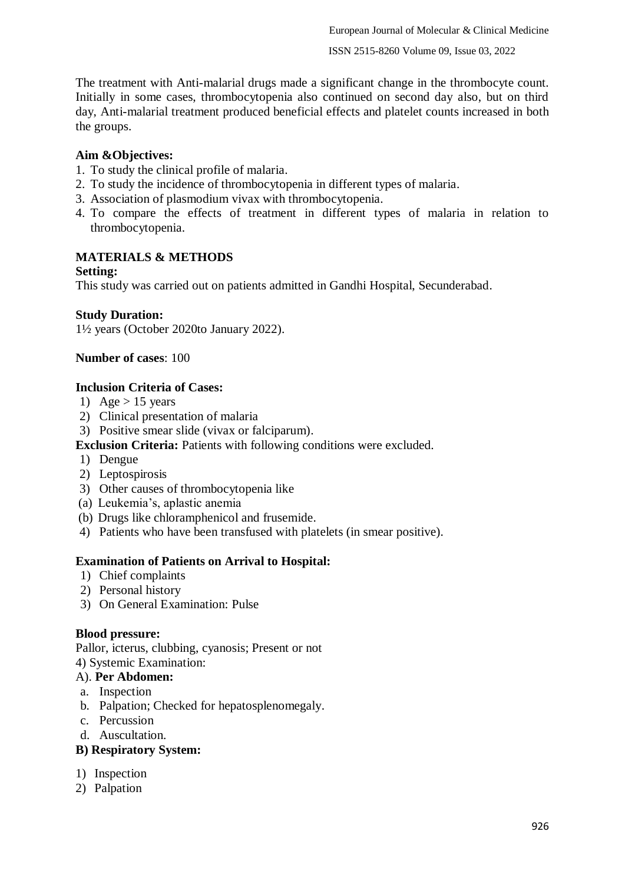The treatment with Anti-malarial drugs made a significant change in the thrombocyte count. Initially in some cases, thrombocytopenia also continued on second day also, but on third day, Anti-malarial treatment produced beneficial effects and platelet counts increased in both the groups.

# **Aim &Objectives:**

- 1. To study the clinical profile of malaria.
- 2. To study the incidence of thrombocytopenia in different types of malaria.
- 3. Association of plasmodium vivax with thrombocytopenia.
- 4. To compare the effects of treatment in different types of malaria in relation to thrombocytopenia.

# **MATERIALS & METHODS**

### **Setting:**

This study was carried out on patients admitted in Gandhi Hospital, Secunderabad.

### **Study Duration:**

1½ years (October 2020to January 2022).

### **Number of cases**: 100

### **Inclusion Criteria of Cases:**

- 1) Age  $> 15$  years
- 2) Clinical presentation of malaria
- 3) Positive smear slide (vivax or falciparum).

### **Exclusion Criteria:** Patients with following conditions were excluded.

- 1) Dengue
- 2) Leptospirosis
- 3) Other causes of thrombocytopenia like
- (a) Leukemia's, aplastic anemia
- (b) Drugs like chloramphenicol and frusemide.
- 4) Patients who have been transfused with platelets (in smear positive).

### **Examination of Patients on Arrival to Hospital:**

- 1) Chief complaints
- 2) Personal history
- 3) On General Examination: Pulse

#### **Blood pressure:**

Pallor, icterus, clubbing, cyanosis; Present or not

# 4) Systemic Examination:

- A). **Per Abdomen:**
- a. Inspection
- b. Palpation; Checked for hepatosplenomegaly.
- c. Percussion
- d. Auscultation.

#### **B) Respiratory System:**

- 1) Inspection
- 2) Palpation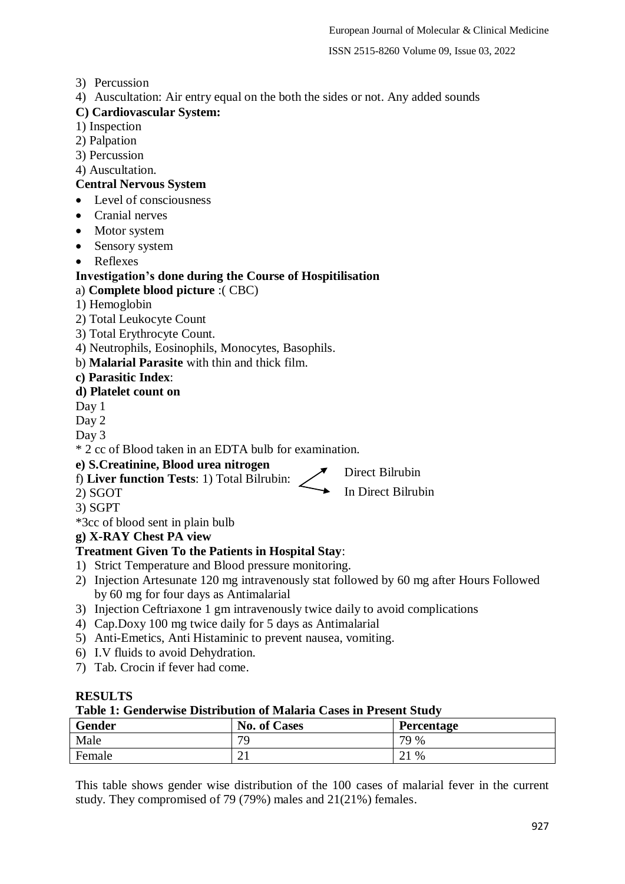ISSN 2515-8260 Volume 09, Issue 03, 2022

- 3) Percussion
- 4) Auscultation: Air entry equal on the both the sides or not. Any added sounds

# **C) Cardiovascular System:**

- 1) Inspection
- 2) Palpation
- 3) Percussion

4) Auscultation.

### **Central Nervous System**

- Level of consciousness
- Cranial nerves
- Motor system
- Sensory system
- Reflexes

# **Investigation's done during the Course of Hospitilisation**

a) **Complete blood picture** :( CBC)

- 1) Hemoglobin
- 2) Total Leukocyte Count
- 3) Total Erythrocyte Count.
- 4) Neutrophils, Eosinophils, Monocytes, Basophils.
- b) **Malarial Parasite** with thin and thick film.
- **c) Parasitic Index**:

# **d) Platelet count on**

Day 1

Day 2

Day 3

\* 2 cc of Blood taken in an EDTA bulb for examination.

### **e) S.Creatinine, Blood urea nitrogen**

f) **Liver function Tests**: 1) Total Bilrubin:

In Direct Bilrubin Direct Bilrubin

2) SGOT

3) SGPT

\*3cc of blood sent in plain bulb

# **g) X-RAY Chest PA view**

### **Treatment Given To the Patients in Hospital Stay**:

- 1) Strict Temperature and Blood pressure monitoring.
- 2) Injection Artesunate 120 mg intravenously stat followed by 60 mg after Hours Followed by 60 mg for four days as Antimalarial
- 3) Injection Ceftriaxone 1 gm intravenously twice daily to avoid complications
- 4) Cap.Doxy 100 mg twice daily for 5 days as Antimalarial
- 5) Anti-Emetics, Anti Histaminic to prevent nausea, vomiting.
- 6) I.V fluids to avoid Dehydration.
- 7) Tab. Crocin if fever had come.

### **RESULTS**

**Table 1: Genderwise Distribution of Malaria Cases in Present Study**

| Gender | <b>No. of Cases</b> | Percentage           |
|--------|---------------------|----------------------|
| Male   | 70                  | 79 %                 |
| Female | ∠⊥                  | %<br>1 ר<br>$\sim$ 1 |

This table shows gender wise distribution of the 100 cases of malarial fever in the current study. They compromised of 79 (79%) males and 21(21%) females.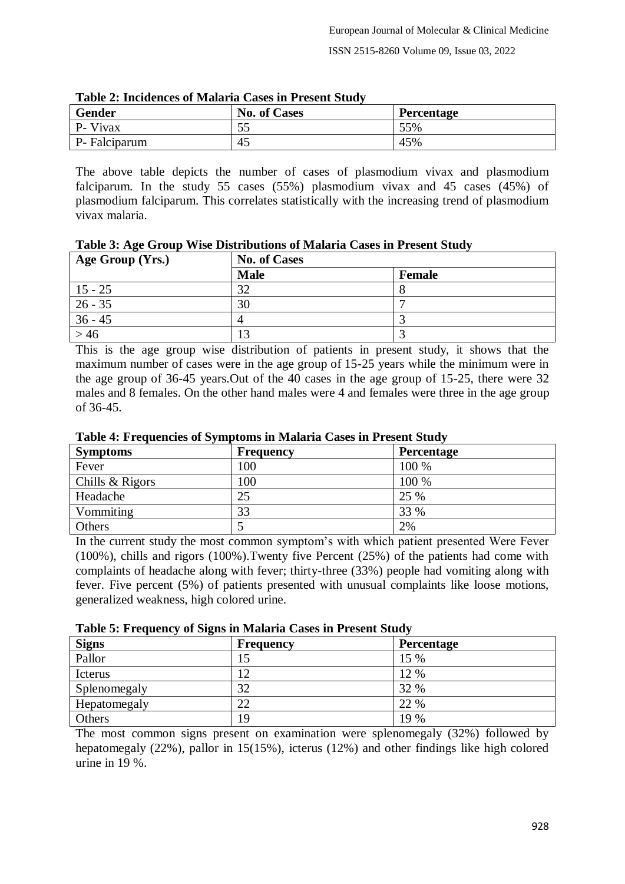| Gender        | <b>No. of Cases</b> | Percentage |
|---------------|---------------------|------------|
| P- Vivax      | 55<br>JJ            | 55%        |
| P- Falciparum | 45                  | 45%        |

| <b>Table 2: Incidences of Malaria Cases in Present Study</b> |  |  |  |  |  |  |
|--------------------------------------------------------------|--|--|--|--|--|--|
|--------------------------------------------------------------|--|--|--|--|--|--|

The above table depicts the number of cases of plasmodium vivax and plasmodium falciparum. In the study 55 cases (55%) plasmodium vivax and 45 cases (45%) of plasmodium falciparum. This correlates statistically with the increasing trend of plasmodium vivax malaria.

| Table 3: Age Group Wise Distributions of Malaria Cases in Present Study |  |  |  |  |  |  |  |  |  |  |
|-------------------------------------------------------------------------|--|--|--|--|--|--|--|--|--|--|
|-------------------------------------------------------------------------|--|--|--|--|--|--|--|--|--|--|

| Age Group (Yrs.) | <b>No. of Cases</b> |               |  |
|------------------|---------------------|---------------|--|
|                  | <b>Male</b>         | <b>Female</b> |  |
| $15 - 25$        | 32                  |               |  |
| $26 - 35$        | 30                  |               |  |
| $36 - 45$        |                     |               |  |
| >46              | $\sqrt{2}$          |               |  |

This is the age group wise distribution of patients in present study, it shows that the maximum number of cases were in the age group of 15-25 years while the minimum were in the age group of 36-45 years.Out of the 40 cases in the age group of 15-25, there were 32 males and 8 females. On the other hand males were 4 and females were three in the age group of 36-45.

| <b>Symptoms</b> | <b>Frequency</b> | <b>Percentage</b> |
|-----------------|------------------|-------------------|
| Fever           | 100              | 100 %             |
| Chills & Rigors | 100              | 100 %             |
| Headache        | 25               | 25 %              |
| Vommiting       | 33               | 33 %              |
| Others          |                  | 2%                |

**Table 4: Frequencies of Symptoms in Malaria Cases in Present Study**

In the current study the most common symptom's with which patient presented Were Fever (100%), chills and rigors (100%).Twenty five Percent (25%) of the patients had come with complaints of headache along with fever; thirty-three (33%) people had vomiting along with fever. Five percent (5%) of patients presented with unusual complaints like loose motions, generalized weakness, high colored urine.

| Table 5: Frequency of Signs in Malaria Cases in Present Study |  |  |  |
|---------------------------------------------------------------|--|--|--|
|                                                               |  |  |  |

| $\overline{\phantom{a}}$<br><b>Signs</b> | <b>Frequency</b> | <b>Percentage</b> |
|------------------------------------------|------------------|-------------------|
| Pallor                                   |                  | 15 %              |
| Icterus                                  |                  | 12 %              |
| Splenomegaly                             | 32               | 32 %              |
| Hepatomegaly                             | 22               | 22 %              |
| Others                                   | 19               | 19 %              |

The most common signs present on examination were splenomegaly (32%) followed by hepatomegaly (22%), pallor in 15(15%), icterus (12%) and other findings like high colored urine in 19 %.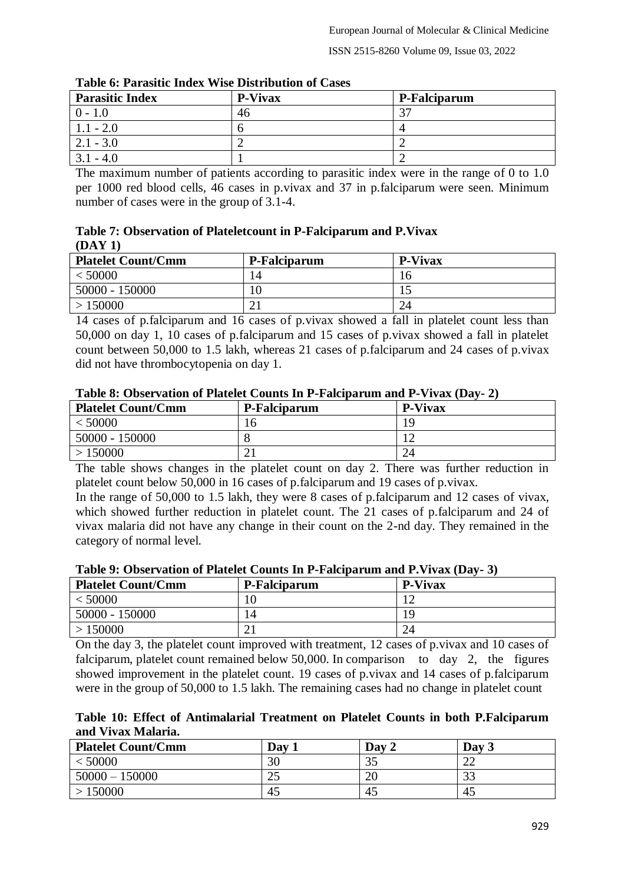| Table 6: Parasitic Index Wise Distribution of Cases |                |              |  |  |
|-----------------------------------------------------|----------------|--------------|--|--|
| <b>Parasitic Index</b>                              | <b>P-Vivax</b> | P-Falciparum |  |  |
| $0 - 1.0$                                           | 46             | າາ           |  |  |
| $1.1 - 2.0$                                         |                |              |  |  |
| $2.1 - 3.0$                                         |                |              |  |  |
| $3.1 - 4.0$                                         |                |              |  |  |

**Table 6: Parasitic Index Wise Distribution of Cases**

The maximum number of patients according to parasitic index were in the range of 0 to 1.0 per 1000 red blood cells, 46 cases in p.vivax and 37 in p.falciparum were seen. Minimum number of cases were in the group of  $3.1-4$ .

|        | Table 7: Observation of Platelet count in P-Falciparum and P. Vivax |  |
|--------|---------------------------------------------------------------------|--|
| (DAY1) |                                                                     |  |

| <b>Platelet Count/Cmm</b> | P-Falciparum | <b>P-Vivax</b> |
|---------------------------|--------------|----------------|
| $<$ 50000                 | 14           | 16             |
| 50000 - 150000            | 10           |                |
| > 150000                  |              | 24             |

14 cases of p.falciparum and 16 cases of p.vivax showed a fall in platelet count less than 50,000 on day 1, 10 cases of p.falciparum and 15 cases of p.vivax showed a fall in platelet count between 50,000 to 1.5 lakh, whereas 21 cases of p.falciparum and 24 cases of p.vivax did not have thrombocytopenia on day 1.

| <b>Platelet Count/Cmm</b> | P-Falciparum | <b>P-Vivax</b> |  |  |  |
|---------------------------|--------------|----------------|--|--|--|
| < 50000                   |              | ١q             |  |  |  |
| 50000 - 150000            |              |                |  |  |  |
| >150000                   |              |                |  |  |  |

**Table 8: Observation of Platelet Counts In P-Falciparum and P-Vivax (Day- 2)**

The table shows changes in the platelet count on day 2. There was further reduction in platelet count below 50,000 in 16 cases of p.falciparum and 19 cases of p.vivax.

In the range of 50,000 to 1.5 lakh, they were 8 cases of p.falciparum and 12 cases of vivax, which showed further reduction in platelet count. The 21 cases of p.falciparum and 24 of vivax malaria did not have any change in their count on the 2-nd day. They remained in the category of normal level.

| Table 7: Observation of Flatelet Counts In I -I aleiparain and I : Vivax (Day- 9) |              |                |  |  |  |
|-----------------------------------------------------------------------------------|--------------|----------------|--|--|--|
| <b>Platelet Count/Cmm</b>                                                         | P-Falciparum | <b>P-Vivax</b> |  |  |  |
| < 50000                                                                           |              |                |  |  |  |
| $50000 - 150000$                                                                  | 4            | 19             |  |  |  |
| >150000                                                                           |              | 24             |  |  |  |

**Table 9: Observation of Platelet Counts In P-Falciparum and P.Vivax (Day- 3)**

On the day 3, the platelet count improved with treatment, 12 cases of p.vivax and 10 cases of falciparum, platelet count remained below 50,000. In comparison to day 2, the figures showed improvement in the platelet count. 19 cases of p.vivax and 14 cases of p.falciparum were in the group of 50,000 to 1.5 lakh. The remaining cases had no change in platelet count

|                    |  |  |  | Table 10: Effect of Antimalarial Treatment on Platelet Counts in both P.Falciparum |
|--------------------|--|--|--|------------------------------------------------------------------------------------|
| and Vivax Malaria. |  |  |  |                                                                                    |

| <b>Platelet Count/Cmm</b> | Day | Day 2 | Day 3               |
|---------------------------|-----|-------|---------------------|
| $<$ 50000                 | 30  | 35    |                     |
| $50000 - 150000$          | 25  | 20    | $\mathcal{D}$<br>IJ |
| >150000                   | 45  | 45    | 45                  |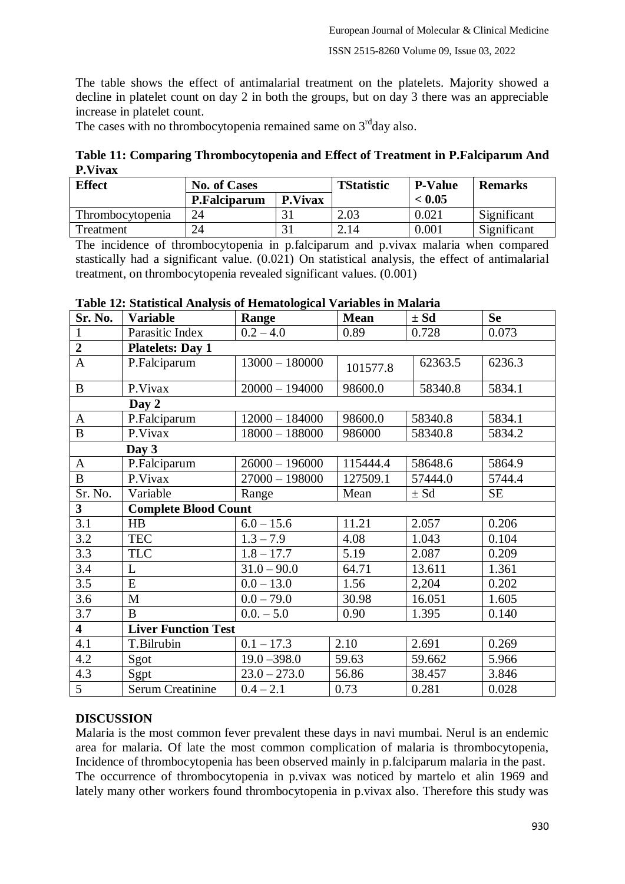The table shows the effect of antimalarial treatment on the platelets. Majority showed a decline in platelet count on day 2 in both the groups, but on day 3 there was an appreciable increase in platelet count.

The cases with no thrombocytopenia remained same on  $3<sup>rd</sup>$ day also.

**Table 11: Comparing Thrombocytopenia and Effect of Treatment in P.Falciparum And P.Vivax**

| <b>Effect</b>    | <b>No. of Cases</b> |                | <b>TStatistic</b> | <b>P-Value</b> | <b>Remarks</b> |
|------------------|---------------------|----------------|-------------------|----------------|----------------|
|                  | P.Falciparum        | <b>P.Vivax</b> |                   | < 0.05         |                |
| Thrombocytopenia | 24                  |                | 2.03              | 0.021          | Significant    |
| Treatment        | 24                  |                | 2.14              | $0.001\,$      | Significant    |

The incidence of thrombocytopenia in p.falciparum and p.vivax malaria when compared stastically had a significant value. (0.021) On statistical analysis, the effect of antimalarial treatment, on thrombocytopenia revealed significant values. (0.001)

| Sr. No.                 | <b>Variable</b>             | Range            | <b>Mean</b> | $\pm Sd$ | <b>Se</b> |  |  |
|-------------------------|-----------------------------|------------------|-------------|----------|-----------|--|--|
| $\mathbf{1}$            | Parasitic Index             | $0.2 - 4.0$      | 0.89        | 0.728    | 0.073     |  |  |
| $\boldsymbol{2}$        | <b>Platelets: Day 1</b>     |                  |             |          |           |  |  |
| $\mathbf{A}$            | P.Falciparum                | $13000 - 180000$ | 101577.8    | 62363.5  | 6236.3    |  |  |
| $\bf{B}$                | P.Vivax                     | $20000 - 194000$ | 98600.0     | 58340.8  | 5834.1    |  |  |
|                         | Day 2                       |                  |             |          |           |  |  |
| $\mathbf{A}$            | P.Falciparum                | $12000 - 184000$ | 98600.0     | 58340.8  | 5834.1    |  |  |
| $\bf{B}$                | P.Vivax                     | $18000 - 188000$ | 986000      | 58340.8  | 5834.2    |  |  |
|                         | Day $3$                     |                  |             |          |           |  |  |
| $\mathbf{A}$            | P.Falciparum                | $26000 - 196000$ | 115444.4    | 58648.6  | 5864.9    |  |  |
| $\overline{B}$          | P.Vivax                     | $27000 - 198000$ | 127509.1    | 57444.0  | 5744.4    |  |  |
| Sr. No.                 | Variable                    | Range            | Mean        | $\pm Sd$ | <b>SE</b> |  |  |
| 3 <sup>1</sup>          | <b>Complete Blood Count</b> |                  |             |          |           |  |  |
| 3.1                     | HB                          | $6.0 - 15.6$     | 11.21       | 2.057    | 0.206     |  |  |
| 3.2                     | <b>TEC</b>                  | $1.3 - 7.9$      | 4.08        | 1.043    | 0.104     |  |  |
| 3.3                     | <b>TLC</b>                  | $1.8 - 17.7$     | 5.19        | 2.087    | 0.209     |  |  |
| 3.4                     | L                           | $31.0 - 90.0$    | 64.71       | 13.611   | 1.361     |  |  |
| 3.5                     | E                           | $0.0 - 13.0$     | 1.56        | 2,204    | 0.202     |  |  |
| 3.6                     | $\mathbf{M}$                | $0.0 - 79.0$     | 30.98       | 16.051   | 1.605     |  |  |
| 3.7                     | B                           | $0.0 - 5.0$      | 0.90        | 1.395    | 0.140     |  |  |
| $\overline{\mathbf{4}}$ | <b>Liver Function Test</b>  |                  |             |          |           |  |  |
| 4.1                     | T.Bilrubin                  | $0.1 - 17.3$     | 2.10        | 2.691    | 0.269     |  |  |
| 4.2                     | Sgot                        | $19.0 - 398.0$   | 59.63       | 59.662   | 5.966     |  |  |
| 4.3                     | Sgpt                        | $23.0 - 273.0$   | 56.86       | 38.457   | 3.846     |  |  |
| $\overline{5}$          | <b>Serum Creatinine</b>     | $0.4 - 2.1$      | 0.73        | 0.281    | 0.028     |  |  |

#### **Table 12: Statistical Analysis of Hematological Variables in Malaria**

#### **DISCUSSION**

Malaria is the most common fever prevalent these days in navi mumbai. Nerul is an endemic area for malaria. Of late the most common complication of malaria is thrombocytopenia, Incidence of thrombocytopenia has been observed mainly in p.falciparum malaria in the past. The occurrence of thrombocytopenia in p.vivax was noticed by martelo et alin 1969 and lately many other workers found thrombocytopenia in p.vivax also. Therefore this study was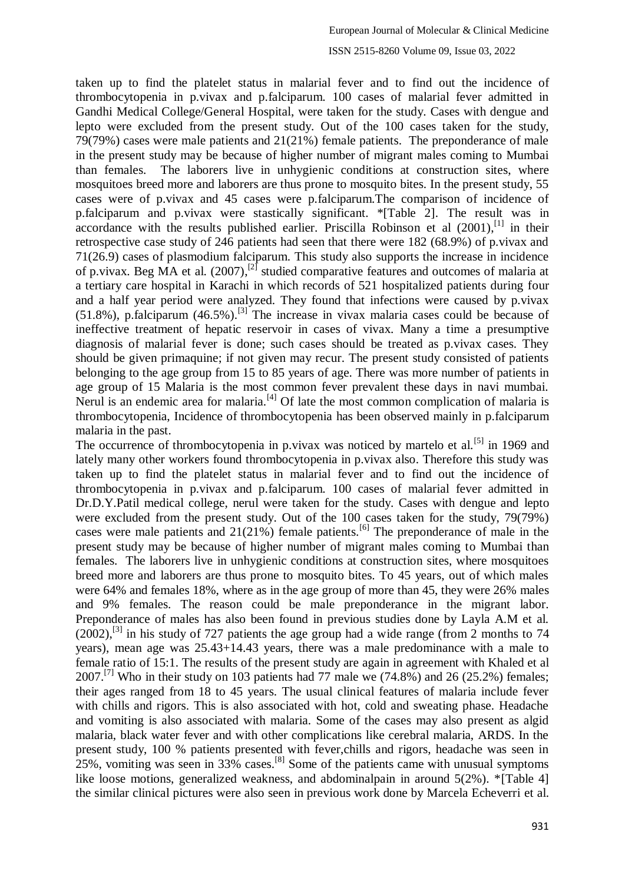taken up to find the platelet status in malarial fever and to find out the incidence of thrombocytopenia in p.vivax and p.falciparum. 100 cases of malarial fever admitted in Gandhi Medical College/General Hospital, were taken for the study. Cases with dengue and lepto were excluded from the present study. Out of the 100 cases taken for the study, 79(79%) cases were male patients and 21(21%) female patients. The preponderance of male in the present study may be because of higher number of migrant males coming to Mumbai than females. The laborers live in unhygienic conditions at construction sites, where mosquitoes breed more and laborers are thus prone to mosquito bites. In the present study, 55 cases were of p.vivax and 45 cases were p.falciparum.The comparison of incidence of p.falciparum and p.vivax were stastically significant. \*[Table 2]. The result was in accordance with the results published earlier. Priscilla Robinson et al (2001),<sup>[1]</sup> in their retrospective case study of 246 patients had seen that there were 182 (68.9%) of p.vivax and 71(26.9) cases of plasmodium falciparum. This study also supports the increase in incidence of p.vivax. Beg MA et al.  $(2007)$ ,<sup>[2]</sup> studied comparative features and outcomes of malaria at a tertiary care hospital in Karachi in which records of 521 hospitalized patients during four and a half year period were analyzed. They found that infections were caused by p.vivax  $(51.8\%)$ , p.falciparum  $(46.5\%)$ .<sup>[3]</sup> The increase in vivax malaria cases could be because of ineffective treatment of hepatic reservoir in cases of vivax. Many a time a presumptive diagnosis of malarial fever is done; such cases should be treated as p.vivax cases. They should be given primaquine; if not given may recur. The present study consisted of patients belonging to the age group from 15 to 85 years of age. There was more number of patients in age group of 15 Malaria is the most common fever prevalent these days in navi mumbai. Nerul is an endemic area for malaria.<sup>[4]</sup> Of late the most common complication of malaria is thrombocytopenia, Incidence of thrombocytopenia has been observed mainly in p.falciparum malaria in the past.

The occurrence of thrombocytopenia in p.vivax was noticed by martelo et al.<sup>[5]</sup> in 1969 and lately many other workers found thrombocytopenia in p.vivax also. Therefore this study was taken up to find the platelet status in malarial fever and to find out the incidence of thrombocytopenia in p.vivax and p.falciparum. 100 cases of malarial fever admitted in Dr.D.Y.Patil medical college, nerul were taken for the study. Cases with dengue and lepto were excluded from the present study. Out of the 100 cases taken for the study, 79(79%) cases were male patients and  $21(21\%)$  female patients.<sup>[6]</sup> The preponderance of male in the present study may be because of higher number of migrant males coming to Mumbai than females. The laborers live in unhygienic conditions at construction sites, where mosquitoes breed more and laborers are thus prone to mosquito bites. To 45 years, out of which males were 64% and females 18%, where as in the age group of more than 45, they were 26% males and 9% females. The reason could be male preponderance in the migrant labor. Preponderance of males has also been found in previous studies done by Layla A.M et al.  $(2002)$ ,<sup>[3]</sup> in his study of 727 patients the age group had a wide range (from 2 months to 74 years), mean age was 25.43+14.43 years, there was a male predominance with a male to female ratio of 15:1. The results of the present study are again in agreement with Khaled et al 2007.<sup>[7]</sup> Who in their study on 103 patients had 77 male we  $(74.8%)$  and 26  $(25.2%)$  females; their ages ranged from 18 to 45 years. The usual clinical features of malaria include fever with chills and rigors. This is also associated with hot, cold and sweating phase. Headache and vomiting is also associated with malaria. Some of the cases may also present as algid malaria, black water fever and with other complications like cerebral malaria, ARDS. In the present study, 100 % patients presented with fever,chills and rigors, headache was seen in  $25\%$ , vomiting was seen in 33% cases.<sup>[8]</sup> Some of the patients came with unusual symptoms like loose motions, generalized weakness, and abdominalpain in around 5(2%). \*[Table 4] the similar clinical pictures were also seen in previous work done by Marcela Echeverri et al.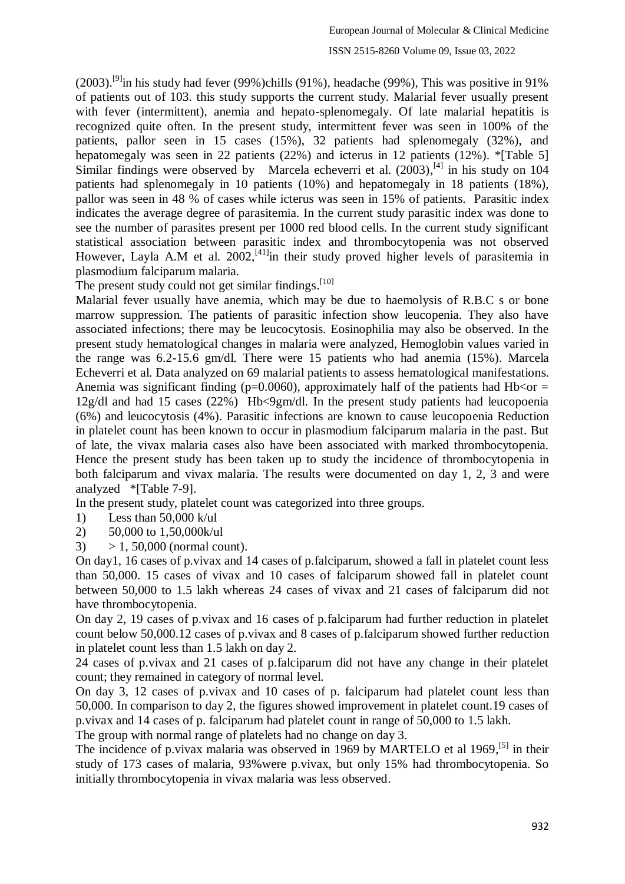#### ISSN 2515-8260 Volume 09, Issue 03, 2022

 $(2003)$ .<sup>[9]</sup>in his study had fever (99%)chills (91%), headache (99%), This was positive in 91% of patients out of 103. this study supports the current study. Malarial fever usually present with fever (intermittent), anemia and hepato-splenomegaly. Of late malarial hepatitis is recognized quite often. In the present study, intermittent fever was seen in 100% of the patients, pallor seen in 15 cases (15%), 32 patients had splenomegaly (32%), and hepatomegaly was seen in 22 patients (22%) and icterus in 12 patients (12%). \*[Table 5] Similar findings were observed by Marcela echeverri et al.  $(2003)$ , <sup>[4]</sup> in his study on 104 patients had splenomegaly in 10 patients (10%) and hepatomegaly in 18 patients (18%), pallor was seen in 48 % of cases while icterus was seen in 15% of patients. Parasitic index indicates the average degree of parasitemia. In the current study parasitic index was done to see the number of parasites present per 1000 red blood cells. In the current study significant statistical association between parasitic index and thrombocytopenia was not observed However, Layla A.M et al.  $2002$ ,<sup>[41]</sup>in their study proved higher levels of parasitemia in plasmodium falciparum malaria.

The present study could not get similar findings.<sup>[10]</sup>

Malarial fever usually have anemia, which may be due to haemolysis of R.B.C s or bone marrow suppression. The patients of parasitic infection show leucopenia. They also have associated infections; there may be leucocytosis. Eosinophilia may also be observed. In the present study hematological changes in malaria were analyzed, Hemoglobin values varied in the range was 6.2-15.6 gm/dl. There were 15 patients who had anemia (15%). Marcela Echeverri et al. Data analyzed on 69 malarial patients to assess hematological manifestations. Anemia was significant finding ( $p=0.0060$ ), approximately half of the patients had Hb $\leq$ or = 12g/dl and had 15 cases (22%) Hb<9gm/dl. In the present study patients had leucopoenia (6%) and leucocytosis (4%). Parasitic infections are known to cause leucopoenia Reduction in platelet count has been known to occur in plasmodium falciparum malaria in the past. But of late, the vivax malaria cases also have been associated with marked thrombocytopenia. Hence the present study has been taken up to study the incidence of thrombocytopenia in both falciparum and vivax malaria. The results were documented on day 1, 2, 3 and were analyzed \*[Table 7-9].

In the present study, platelet count was categorized into three groups.

- 1) Less than  $50,000$  k/ul
- 2) 50,000 to 1,50,000k/ul
- 3)  $> 1, 50,000$  (normal count).

On day1, 16 cases of p.vivax and 14 cases of p.falciparum, showed a fall in platelet count less than 50,000. 15 cases of vivax and 10 cases of falciparum showed fall in platelet count between 50,000 to 1.5 lakh whereas 24 cases of vivax and 21 cases of falciparum did not have thrombocytopenia.

On day 2, 19 cases of p.vivax and 16 cases of p.falciparum had further reduction in platelet count below 50,000.12 cases of p.vivax and 8 cases of p.falciparum showed further reduction in platelet count less than 1.5 lakh on day 2.

24 cases of p.vivax and 21 cases of p.falciparum did not have any change in their platelet count; they remained in category of normal level.

On day 3, 12 cases of p.vivax and 10 cases of p. falciparum had platelet count less than 50,000. In comparison to day 2, the figures showed improvement in platelet count.19 cases of p.vivax and 14 cases of p. falciparum had platelet count in range of 50,000 to 1.5 lakh.

The group with normal range of platelets had no change on day 3.

The incidence of p.vivax malaria was observed in 1969 by MARTELO et al 1969,<sup>[5]</sup> in their study of 173 cases of malaria, 93%were p.vivax, but only 15% had thrombocytopenia. So initially thrombocytopenia in vivax malaria was less observed.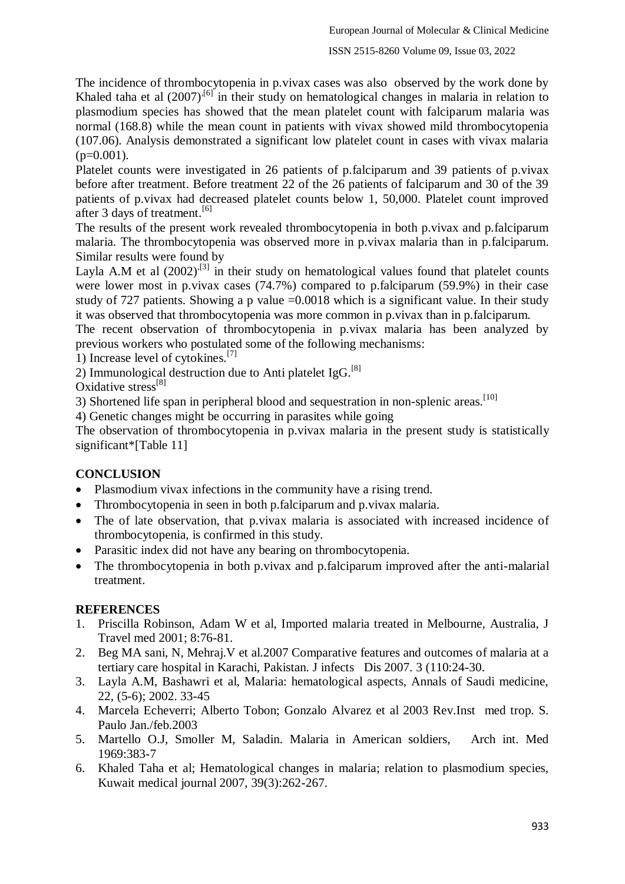The incidence of thrombocytopenia in p.vivax cases was also observed by the work done by Khaled taha et al  $(2007)^{.6}$  in their study on hematological changes in malaria in relation to plasmodium species has showed that the mean platelet count with falciparum malaria was normal (168.8) while the mean count in patients with vivax showed mild thrombocytopenia (107.06). Analysis demonstrated a significant low platelet count in cases with vivax malaria  $(p=0.001)$ .

Platelet counts were investigated in 26 patients of p.falciparum and 39 patients of p.vivax before after treatment. Before treatment 22 of the 26 patients of falciparum and 30 of the 39 patients of p.vivax had decreased platelet counts below 1, 50,000. Platelet count improved after 3 days of treatment.<sup>[6]</sup>

The results of the present work revealed thrombocytopenia in both p.vivax and p.falciparum malaria. The thrombocytopenia was observed more in p.vivax malaria than in p.falciparum. Similar results were found by

Layla A.M et al  $(2002)^{[3]}$  in their study on hematological values found that platelet counts were lower most in p.vivax cases (74.7%) compared to p.falciparum (59.9%) in their case study of 727 patients. Showing a p value =0.0018 which is a significant value. In their study it was observed that thrombocytopenia was more common in p.vivax than in p.falciparum.

The recent observation of thrombocytopenia in p.vivax malaria has been analyzed by previous workers who postulated some of the following mechanisms:

1) Increase level of cytokines.[7]

2) Immunological destruction due to Anti platelet IgG.<sup>[8]</sup>

Oxidative stress<sup>[8]</sup>

3) Shortened life span in peripheral blood and sequestration in non-splenic areas.<sup>[10]</sup>

4) Genetic changes might be occurring in parasites while going

The observation of thrombocytopenia in p.vivax malaria in the present study is statistically significant\*[Table 11]

### **CONCLUSION**

- Plasmodium vivax infections in the community have a rising trend.
- Thrombocytopenia in seen in both p.falciparum and p.vivax malaria.
- The of late observation, that p.vivax malaria is associated with increased incidence of thrombocytopenia, is confirmed in this study.
- Parasitic index did not have any bearing on thrombocytopenia.
- The thrombocytopenia in both p.vivax and p.falciparum improved after the anti-malarial treatment.

### **REFERENCES**

- 1. Priscilla Robinson, Adam W et al, Imported malaria treated in Melbourne, Australia, J Travel med 2001; 8:76-81.
- 2. Beg MA sani, N, Mehraj.V et al.2007 Comparative features and outcomes of malaria at a tertiary care hospital in Karachi, Pakistan. J infects Dis 2007. 3 (110:24-30.
- 3. Layla A.M, Bashawri et al, Malaria: hematological aspects, Annals of Saudi medicine, 22, (5-6); 2002. 33-45
- 4. Marcela Echeverri; Alberto Tobon; Gonzalo Alvarez et al 2003 Rev.Inst med trop. S. Paulo Jan./feb.2003
- 5. Martello O.J, Smoller M, Saladin. Malaria in American soldiers, Arch int. Med 1969:383-7
- 6. Khaled Taha et al; Hematological changes in malaria; relation to plasmodium species, Kuwait medical journal 2007, 39(3):262-267.